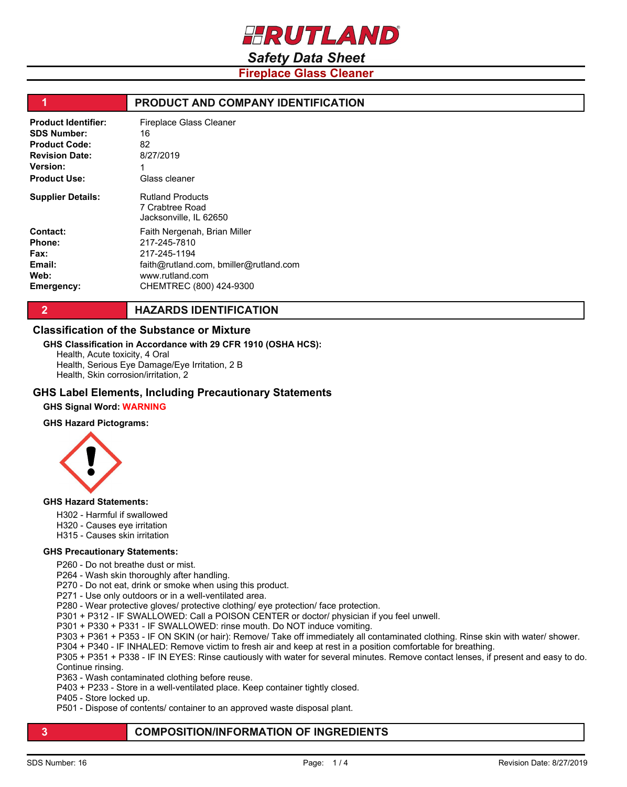

# *Safety Data Sheet*

**Fireplace Glass Cleaner**

| и                          | PRODUCT AND COMPANY IDENTIFICATION                                   |
|----------------------------|----------------------------------------------------------------------|
| <b>Product Identifier:</b> | <b>Fireplace Glass Cleaner</b>                                       |
| <b>SDS Number:</b>         | 16                                                                   |
| <b>Product Code:</b>       | 82                                                                   |
| <b>Revision Date:</b>      | 8/27/2019                                                            |
| <b>Version:</b>            |                                                                      |
| <b>Product Use:</b>        | Glass cleaner                                                        |
| <b>Supplier Details:</b>   | <b>Rutland Products</b><br>7 Crabtree Road<br>Jacksonville, IL 62650 |
| Contact:                   | Faith Nergenah, Brian Miller                                         |
| Phone:                     | 217-245-7810                                                         |
| <b>Fax:</b>                | 217-245-1194                                                         |
| Email:                     | faith@rutland.com, bmiller@rutland.com                               |
| Web:                       | www.rutland.com                                                      |
| Emergency:                 | CHEMTREC (800) 424-9300                                              |

**2 HAZARDS IDENTIFICATION** 

### **Classification of the Substance or Mixture**

#### **GHS Classification in Accordance with 29 CFR 1910 (OSHA HCS):**

Health, Acute toxicity, 4 Oral Health, Serious Eye Damage/Eye Irritation, 2 B Health, Skin corrosion/irritation, 2

### **GHS Label Elements, Including Precautionary Statements**

### **GHS Signal Word: WARNING**

#### **GHS Hazard Pictograms:**



#### **GHS Hazard Statements:**

- H302 Harmful if swallowed
- H320 Causes eye irritation
- H315 Causes skin irritation

#### **GHS Precautionary Statements:**

P260 - Do not breathe dust or mist.

P264 - Wash skin thoroughly after handling.

- P270 Do not eat, drink or smoke when using this product.
- P271 Use only outdoors or in a well-ventilated area.
- P280 Wear protective gloves/ protective clothing/ eye protection/ face protection.
- P301 + P312 IF SWALLOWED: Call a POISON CENTER or doctor/ physician if you feel unwell.
- P301 + P330 + P331 IF SWALLOWED: rinse mouth. Do NOT induce vomiting.
- P303 + P361 + P353 IF ON SKIN (or hair): Remove/ Take off immediately all contaminated clothing. Rinse skin with water/ shower.
- P304 + P340 IF INHALED: Remove victim to fresh air and keep at rest in a position comfortable for breathing.
- P305 + P351 + P338 IF IN EYES: Rinse cautiously with water for several minutes. Remove contact lenses, if present and easy to do. Continue rinsing.
- P363 Wash contaminated clothing before reuse.
- P403 + P233 Store in a well-ventilated place. Keep container tightly closed.
- P405 Store locked up.
- P501 Dispose of contents/ container to an approved waste disposal plant.

### **3 COMPOSITION/INFORMATION OF INGREDIENTS**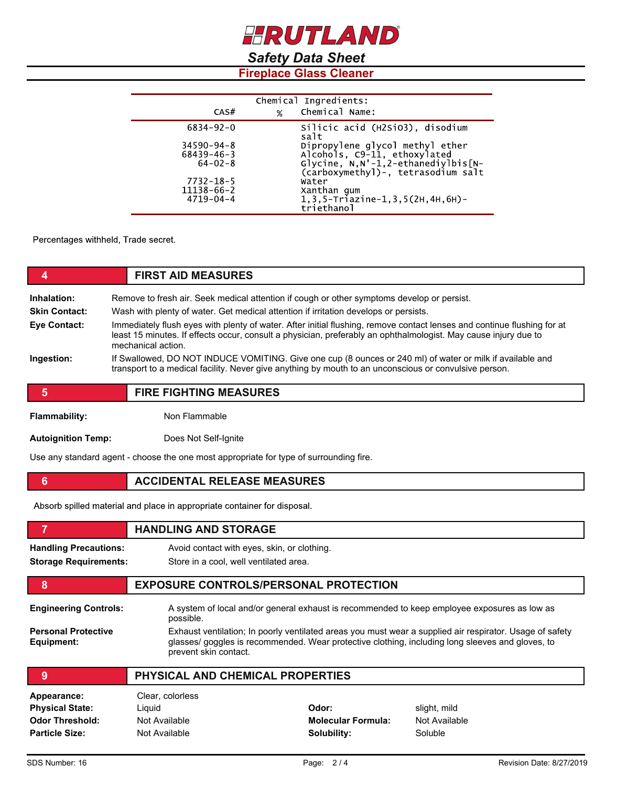# *Safety Data Sheet*

# **Fireplace Glass Cleaner**

| Chemical Ingredients: |   |                                                                             |  |
|-----------------------|---|-----------------------------------------------------------------------------|--|
| CAS#                  | % | Chemical Name:                                                              |  |
| $6834 - 92 - 0$       |   | Silicic acid (H2SiO3), disodium<br>salt                                     |  |
| $34590 - 94 - 8$      |   |                                                                             |  |
| $68439 - 46 - 3$      |   | Dipropylene glycol methyl ether<br>Alcohols, C9-11, ethoxylated             |  |
| $64 - 02 - 8$         |   | $Glycine, N,N'-1, 2-ethanediylbis[N-$<br>(carboxymethyl)-, tetrasodium salt |  |
| $7732 - 18 - 5$       |   | Water                                                                       |  |
| 11138-66-2            |   | Xanthan gum                                                                 |  |
| $4719 - 04 - 4$       |   | $1, 3, 5$ -Triazine-1, 3, 5 (2H, 4H, 6H) -<br>triethanol                    |  |

Percentages withheld, Trade secret.

|                      | <b>FIRST AID MEASURES</b>                                                                                                                                                                                                                                        |  |  |
|----------------------|------------------------------------------------------------------------------------------------------------------------------------------------------------------------------------------------------------------------------------------------------------------|--|--|
| Inhalation:          | Remove to fresh air. Seek medical attention if cough or other symptoms develop or persist.                                                                                                                                                                       |  |  |
| <b>Skin Contact:</b> | Wash with plenty of water. Get medical attention if irritation develops or persists.                                                                                                                                                                             |  |  |
| Eye Contact:         | Immediately flush eyes with plenty of water. After initial flushing, remove contact lenses and continue flushing for at<br>least 15 minutes. If effects occur, consult a physician, preferably an ophthalmologist. May cause injury due to<br>mechanical action. |  |  |
| Ingestion:           | If Swallowed, DO NOT INDUCE VOMITING. Give one cup (8 ounces or 240 ml) of water or milk if available and<br>transport to a medical facility. Never give anything by mouth to an unconscious or convulsive person.                                               |  |  |
| 5                    | <b>FIRE FIGHTING MEASURES</b>                                                                                                                                                                                                                                    |  |  |

**Flammability:** Non Flammable

**Autoignition Temp:** Does Not Self-Ignite

Use any standard agent - choose the one most appropriate for type of surrounding fire.

**6 ACCIDENTAL RELEASE MEASURES** 

Absorb spilled material and place in appropriate container for disposal.

|                                          | <b>HANDLING AND STORAGE</b>                                                                                                                                                                                                           |                                              |               |  |
|------------------------------------------|---------------------------------------------------------------------------------------------------------------------------------------------------------------------------------------------------------------------------------------|----------------------------------------------|---------------|--|
| <b>Handling Precautions:</b>             | Avoid contact with eyes, skin, or clothing.                                                                                                                                                                                           |                                              |               |  |
| <b>Storage Requirements:</b>             | Store in a cool, well ventilated area.                                                                                                                                                                                                |                                              |               |  |
| 8                                        |                                                                                                                                                                                                                                       | <b>EXPOSURE CONTROLS/PERSONAL PROTECTION</b> |               |  |
| <b>Engineering Controls:</b>             | A system of local and/or general exhaust is recommended to keep employee exposures as low as<br>possible.                                                                                                                             |                                              |               |  |
| <b>Personal Protective</b><br>Equipment: | Exhaust ventilation; In poorly ventilated areas you must wear a supplied air respirator. Usage of safety<br>glasses/ goggles is recommended. Wear protective clothing, including long sleeves and gloves, to<br>prevent skin contact. |                                              |               |  |
| 9                                        | PHYSICAL AND CHEMICAL PROPERTIES                                                                                                                                                                                                      |                                              |               |  |
| Appearance:                              | Clear, colorless                                                                                                                                                                                                                      |                                              |               |  |
| <b>Physical State:</b>                   | Liquid                                                                                                                                                                                                                                | Odor:                                        | slight, mild  |  |
| <b>Odor Threshold:</b>                   | Not Available                                                                                                                                                                                                                         | <b>Molecular Formula:</b>                    | Not Available |  |

Not Available **Solubility:** Soluble **Solubility:** Soluble

**Particle Size:**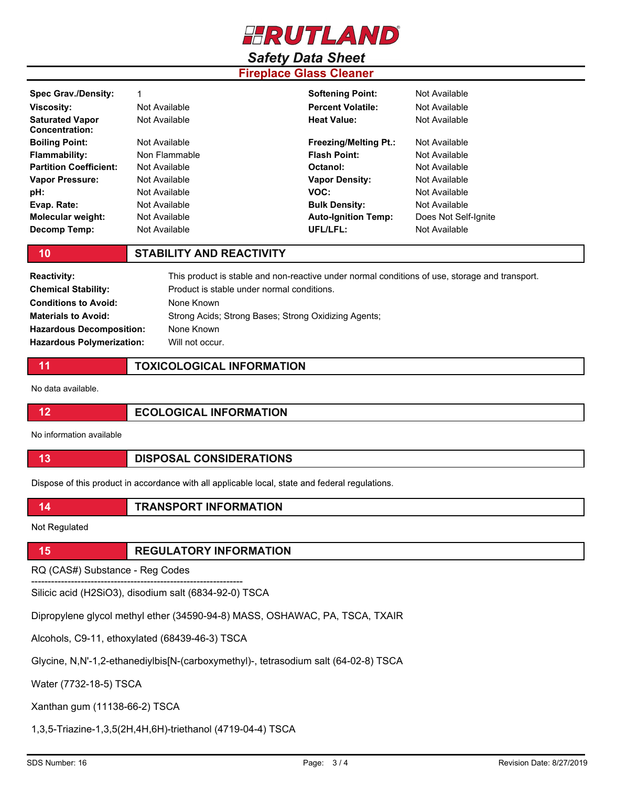

# *Safety Data Sheet*

# **Fireplace Glass Cleaner**

| <b>Spec Grav./Density:</b>                      |               | <b>Softening Point:</b>      | Not Available        |
|-------------------------------------------------|---------------|------------------------------|----------------------|
| <b>Viscosity:</b>                               | Not Available | <b>Percent Volatile:</b>     | Not Available        |
| <b>Saturated Vapor</b><br><b>Concentration:</b> | Not Available | Heat Value:                  | Not Available        |
| <b>Boiling Point:</b>                           | Not Available | <b>Freezing/Melting Pt.:</b> | Not Available        |
| <b>Flammability:</b>                            | Non Flammable | <b>Flash Point:</b>          | Not Available        |
| <b>Partition Coefficient:</b>                   | Not Available | Octanol:                     | Not Available        |
| <b>Vapor Pressure:</b>                          | Not Available | <b>Vapor Density:</b>        | Not Available        |
| pH:                                             | Not Available | VOC:                         | Not Available        |
| Evap. Rate:                                     | Not Available | <b>Bulk Density:</b>         | Not Available        |
| Molecular weight:                               | Not Available | <b>Auto-Ignition Temp:</b>   | Does Not Self-Ignite |
| Decomp Temp:                                    | Not Available | UFL/LFL:                     | Not Available        |

## **10 STABILITY AND REACTIVITY**

| <b>Reactivity:</b>               | This product is stable and non-reactive under normal conditions of use, storage and transport. |
|----------------------------------|------------------------------------------------------------------------------------------------|
| <b>Chemical Stability:</b>       | Product is stable under normal conditions.                                                     |
| <b>Conditions to Avoid:</b>      | None Known                                                                                     |
| <b>Materials to Avoid:</b>       | Strong Acids; Strong Bases; Strong Oxidizing Agents;                                           |
| <b>Hazardous Decomposition:</b>  | None Known                                                                                     |
| <b>Hazardous Polymerization:</b> | Will not occur.                                                                                |

**11 TOXICOLOGICAL INFORMATION**

No data available.

| <b>ECOLOGICAL INFORMATION</b> |
|-------------------------------|

No information available

| <b>DISPOSAL CONSIDERATIONS</b> |
|--------------------------------|
|                                |

Dispose of this product in accordance with all applicable local, state and federal regulations.

**14 TRANSPORT INFORMATION**

Not Regulated

**15 REGULATORY INFORMATION**

RQ (CAS#) Substance - Reg Codes

---------------------------------------------------------------- Silicic acid (H2SiO3), disodium salt (6834-92-0) TSCA

Dipropylene glycol methyl ether (34590-94-8) MASS, OSHAWAC, PA, TSCA, TXAIR

Alcohols, C9-11, ethoxylated (68439-46-3) TSCA

Glycine, N,N'-1,2-ethanediylbis[N-(carboxymethyl)-, tetrasodium salt (64-02-8) TSCA

Water (7732-18-5) TSCA

Xanthan gum (11138-66-2) TSCA

1,3,5-Triazine-1,3,5(2H,4H,6H)-triethanol (4719-04-4) TSCA